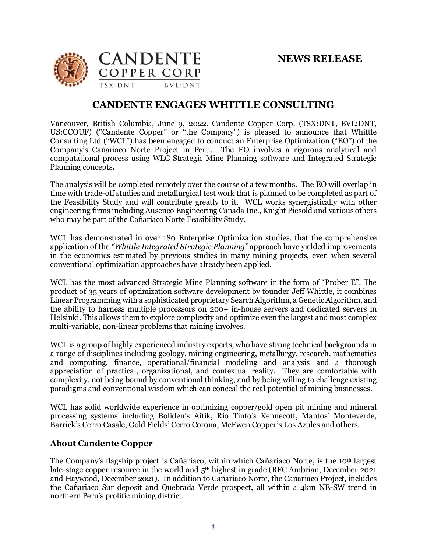

## **CANDENTE ENGAGES WHITTLE CONSULTING**

Vancouver, British Columbia, June 9, 2022. Candente Copper Corp. (TSX:DNT, BVL:DNT, US:CCOUF) ("Candente Copper" or "the Company") is pleased to announce that Whittle Consulting Ltd ("WCL") has been engaged to conduct an Enterprise Optimization ("EO") of the Company's Cañariaco Norte Project in Peru. The EO involves a rigorous analytical and computational process using WLC Strategic Mine Planning software and Integrated Strategic Planning concepts*.* 

The analysis will be completed remotely over the course of a few months. The EO will overlap in time with trade-off studies and metallurgical test work that is planned to be completed as part of the Feasibility Study and will contribute greatly to it. WCL works synergistically with other engineering firms including Ausenco Engineering Canada Inc., Knight Piesold and various others who may be part of the Cañariaco Norte Feasibility Study.

WCL has demonstrated in over 180 Enterprise Optimization studies, that the comprehensive application of the *"Whittle Integrated Strategic Planning"* approach have yielded improvements in the economics estimated by previous studies in many mining projects, even when several conventional optimization approaches have already been applied.

WCL has the most advanced Strategic Mine Planning software in the form of "Prober E". The product of 35 years of optimization software development by founder Jeff Whittle, it combines Linear Programming with a sophisticated proprietary Search Algorithm, a Genetic Algorithm, and the ability to harness multiple processors on 200+ in-house servers and dedicated servers in Helsinki. This allows them to explore complexity and optimize even the largest and most complex multi-variable, non-linear problems that mining involves.

WCL is a group of highly experienced industry experts, who have strong technical backgrounds in a range of disciplines including geology, mining engineering, metallurgy, research, mathematics and computing, finance, operational/financial modeling and analysis and a thorough appreciation of practical, organizational, and contextual reality. They are comfortable with complexity, not being bound by conventional thinking, and by being willing to challenge existing paradigms and conventional wisdom which can conceal the real potential of mining businesses.

WCL has solid worldwide experience in optimizing copper/gold open pit mining and mineral processing systems including Boliden's Aitik, Rio Tinto's Kennecott, Mantos' Monteverde, Barrick's Cerro Casale, Gold Fields' Cerro Corona, McEwen Copper's Los Azules and others.

## **About Candente Copper**

The Company's flagship project is Cañariaco, within which Cañariaco Norte, is the 10th largest late-stage copper resource in the world and  $5<sup>th</sup>$  highest in grade (RFC Ambrian, December 2021) and Haywood, December 2021). In addition to Cañariaco Norte, the Cañariaco Project, includes the Cañariaco Sur deposit and Quebrada Verde prospect, all within a 4km NE-SW trend in northern Peru's prolific mining district.